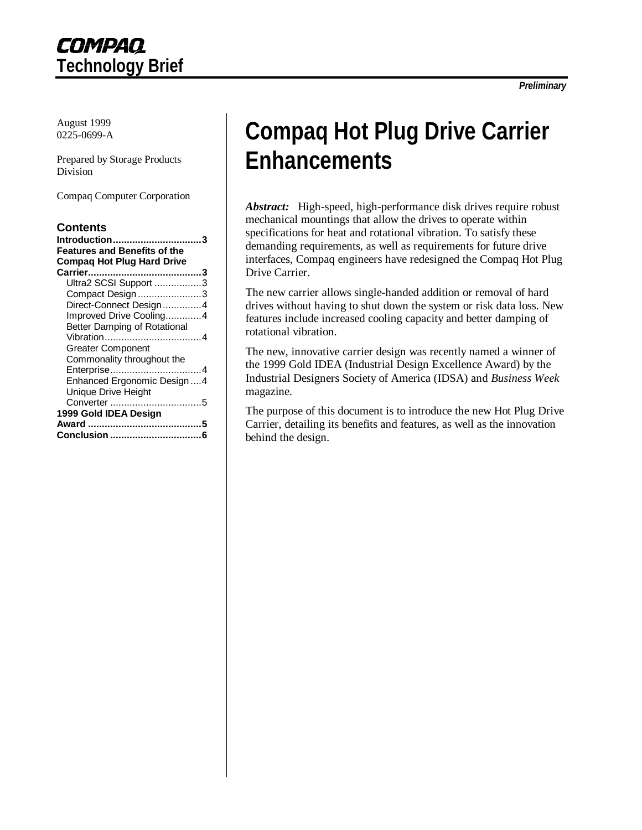August 1999 0225-0699-A

Prepared by Storage Products Division

Compaq Computer Corporation

#### **Contents**

| <u>Introduction</u><br><b>Features and Benefits of the</b><br><b>Compag Hot Plug Hard Drive</b> |
|-------------------------------------------------------------------------------------------------|
|                                                                                                 |
| Ultra2 SCSI Support 3                                                                           |
| Compact Design3                                                                                 |
| Direct-Connect Design4                                                                          |
| Improved Drive Cooling4                                                                         |
| Better Damping of Rotational                                                                    |
|                                                                                                 |
| <b>Greater Component</b>                                                                        |
| Commonality throughout the                                                                      |
| Enterprise4                                                                                     |
| Enhanced Ergonomic Design4                                                                      |
| Unique Drive Height                                                                             |
|                                                                                                 |
| 1999 Gold IDEA Design                                                                           |
|                                                                                                 |
| Conclusion                                                                                      |
|                                                                                                 |

# **Compaq Hot Plug Drive Carrier Enhancements**

*Abstract:* High-speed, high-performance disk drives require robust mechanical mountings that allow the drives to operate within specifications for heat and rotational vibration. To satisfy these demanding requirements, as well as requirements for future drive interfaces, Compaq engineers have redesigned the Compaq Hot Plug Drive Carrier.

The new carrier allows single-handed addition or removal of hard drives without having to shut down the system or risk data loss. New features include increased cooling capacity and better damping of rotational vibration.

The new, innovative carrier design was recently named a winner of the 1999 Gold IDEA (Industrial Design Excellence Award) by the Industrial Designers Society of America (IDSA) and *Business Week* magazine.

The purpose of this document is to introduce the new Hot Plug Drive Carrier, detailing its benefits and features, as well as the innovation behind the design.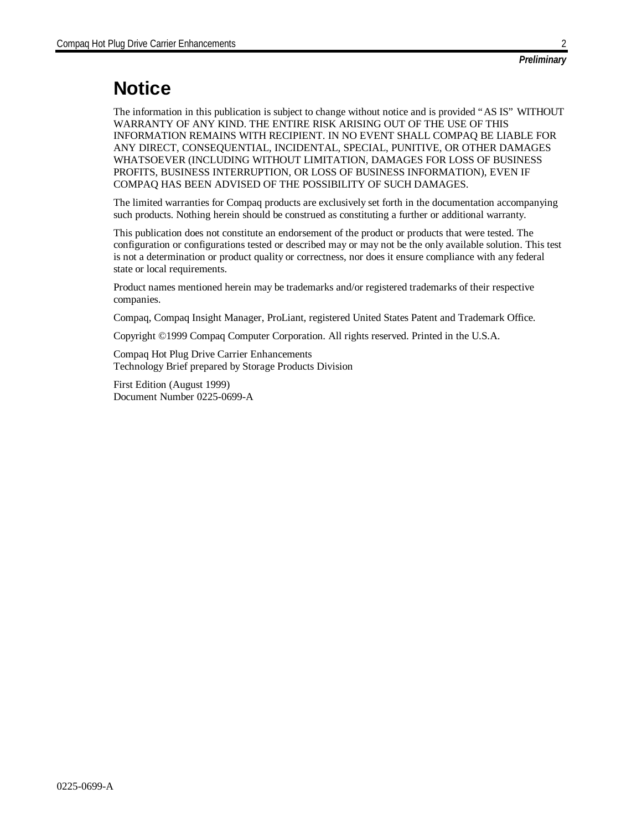## **Notice**

The information in this publication is subject to change without notice and is provided "AS IS" WITHOUT WARRANTY OF ANY KIND. THE ENTIRE RISK ARISING OUT OF THE USE OF THIS INFORMATION REMAINS WITH RECIPIENT. IN NO EVENT SHALL COMPAQ BE LIABLE FOR ANY DIRECT, CONSEQUENTIAL, INCIDENTAL, SPECIAL, PUNITIVE, OR OTHER DAMAGES WHATSOEVER (INCLUDING WITHOUT LIMITATION, DAMAGES FOR LOSS OF BUSINESS PROFITS, BUSINESS INTERRUPTION, OR LOSS OF BUSINESS INFORMATION), EVEN IF COMPAQ HAS BEEN ADVISED OF THE POSSIBILITY OF SUCH DAMAGES.

The limited warranties for Compaq products are exclusively set forth in the documentation accompanying such products. Nothing herein should be construed as constituting a further or additional warranty.

This publication does not constitute an endorsement of the product or products that were tested. The configuration or configurations tested or described may or may not be the only available solution. This test is not a determination or product quality or correctness, nor does it ensure compliance with any federal state or local requirements.

Product names mentioned herein may be trademarks and/or registered trademarks of their respective companies.

Compaq, Compaq Insight Manager, ProLiant, registered United States Patent and Trademark Office.

Copyright ©1999 Compaq Computer Corporation. All rights reserved. Printed in the U.S.A.

Compaq Hot Plug Drive Carrier Enhancements Technology Brief prepared by Storage Products Division

First Edition (August 1999) Document Number 0225-0699-A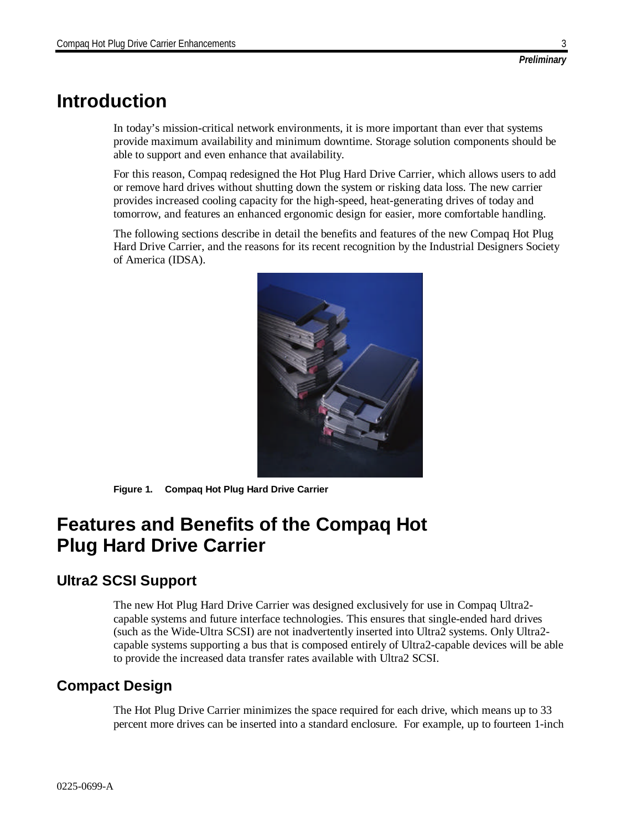## **Introduction**

In today's mission-critical network environments, it is more important than ever that systems provide maximum availability and minimum downtime. Storage solution components should be able to support and even enhance that availability.

For this reason, Compaq redesigned the Hot Plug Hard Drive Carrier, which allows users to add or remove hard drives without shutting down the system or risking data loss. The new carrier provides increased cooling capacity for the high-speed, heat-generating drives of today and tomorrow, and features an enhanced ergonomic design for easier, more comfortable handling.

The following sections describe in detail the benefits and features of the new Compaq Hot Plug Hard Drive Carrier, and the reasons for its recent recognition by the Industrial Designers Society of America (IDSA).



**Figure 1. Compaq Hot Plug Hard Drive Carrier**

## **Features and Benefits of the Compaq Hot Plug Hard Drive Carrier**

## **Ultra2 SCSI Support**

The new Hot Plug Hard Drive Carrier was designed exclusively for use in Compaq Ultra2 capable systems and future interface technologies. This ensures that single-ended hard drives (such as the Wide-Ultra SCSI) are not inadvertently inserted into Ultra2 systems. Only Ultra2 capable systems supporting a bus that is composed entirely of Ultra2-capable devices will be able to provide the increased data transfer rates available with Ultra2 SCSI.

### **Compact Design**

The Hot Plug Drive Carrier minimizes the space required for each drive, which means up to 33 percent more drives can be inserted into a standard enclosure. For example, up to fourteen 1-inch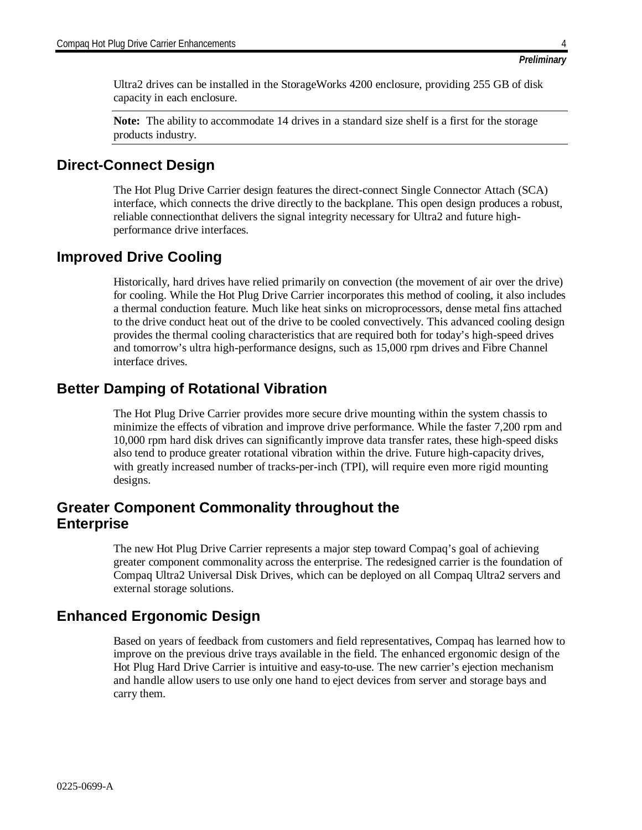Ultra2 drives can be installed in the StorageWorks 4200 enclosure, providing 255 GB of disk capacity in each enclosure.

**Note:** The ability to accommodate 14 drives in a standard size shelf is a first for the storage products industry.

#### **Direct-Connect Design**

The Hot Plug Drive Carrier design features the direct-connect Single Connector Attach (SCA) interface, which connects the drive directly to the backplane. This open design produces a robust, reliable connectionthat delivers the signal integrity necessary for Ultra2 and future highperformance drive interfaces.

#### **Improved Drive Cooling**

Historically, hard drives have relied primarily on convection (the movement of air over the drive) for cooling. While the Hot Plug Drive Carrier incorporates this method of cooling, it also includes a thermal conduction feature. Much like heat sinks on microprocessors, dense metal fins attached to the drive conduct heat out of the drive to be cooled convectively. This advanced cooling design provides the thermal cooling characteristics that are required both for today's high-speed drives and tomorrow's ultra high-performance designs, such as 15,000 rpm drives and Fibre Channel interface drives.

### **Better Damping of Rotational Vibration**

The Hot Plug Drive Carrier provides more secure drive mounting within the system chassis to minimize the effects of vibration and improve drive performance. While the faster 7,200 rpm and 10,000 rpm hard disk drives can significantly improve data transfer rates, these high-speed disks also tend to produce greater rotational vibration within the drive. Future high-capacity drives, with greatly increased number of tracks-per-inch (TPI), will require even more rigid mounting designs.

#### **Greater Component Commonality throughout the Enterprise**

The new Hot Plug Drive Carrier represents a major step toward Compaq's goal of achieving greater component commonality across the enterprise. The redesigned carrier is the foundation of Compaq Ultra2 Universal Disk Drives, which can be deployed on all Compaq Ultra2 servers and external storage solutions.

### **Enhanced Ergonomic Design**

Based on years of feedback from customers and field representatives, Compaq has learned how to improve on the previous drive trays available in the field. The enhanced ergonomic design of the Hot Plug Hard Drive Carrier is intuitive and easy-to-use. The new carrier's ejection mechanism and handle allow users to use only one hand to eject devices from server and storage bays and carry them.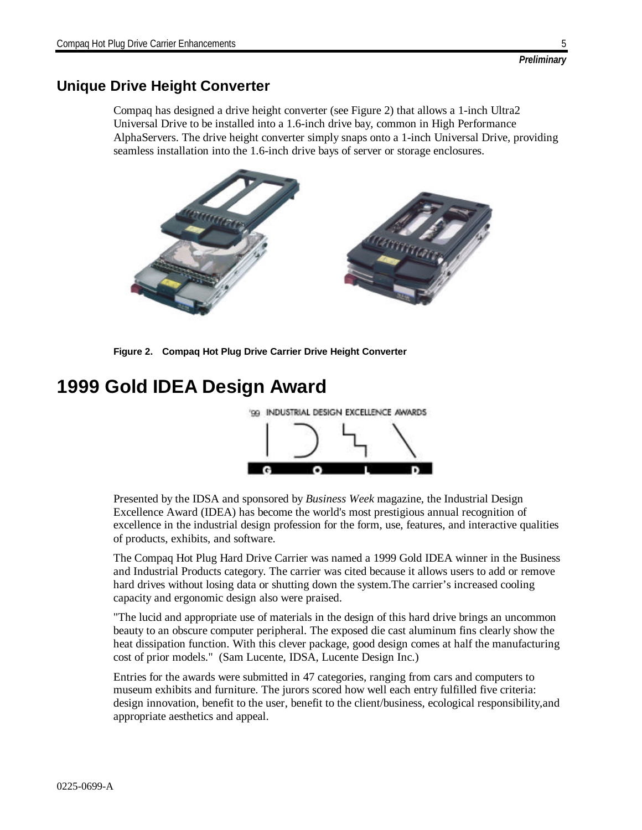### **Unique Drive Height Converter**

Compaq has designed a drive height converter (see Figure 2) that allows a 1-inch Ultra2 Universal Drive to be installed into a 1.6-inch drive bay, common in High Performance AlphaServers. The drive height converter simply snaps onto a 1-inch Universal Drive, providing seamless installation into the 1.6-inch drive bays of server or storage enclosures.



**Figure 2. Compaq Hot Plug Drive Carrier Drive Height Converter**

# **1999 Gold IDEA Design Award**



Presented by the IDSA and sponsored by *Business Week* magazine, the Industrial Design Excellence Award (IDEA) has become the world's most prestigious annual recognition of excellence in the industrial design profession for the form, use, features, and interactive qualities of products, exhibits, and software.

The Compaq Hot Plug Hard Drive Carrier was named a 1999 Gold IDEA winner in the Business and Industrial Products category. The carrier was cited because it allows users to add or remove hard drives without losing data or shutting down the system.The carrier's increased cooling capacity and ergonomic design also were praised.

"The lucid and appropriate use of materials in the design of this hard drive brings an uncommon beauty to an obscure computer peripheral. The exposed die cast aluminum fins clearly show the heat dissipation function. With this clever package, good design comes at half the manufacturing cost of prior models." (Sam Lucente, IDSA, Lucente Design Inc.)

Entries for the awards were submitted in 47 categories, ranging from cars and computers to museum exhibits and furniture. The jurors scored how well each entry fulfilled five criteria: design innovation, benefit to the user, benefit to the client/business, ecological responsibility,and appropriate aesthetics and appeal.